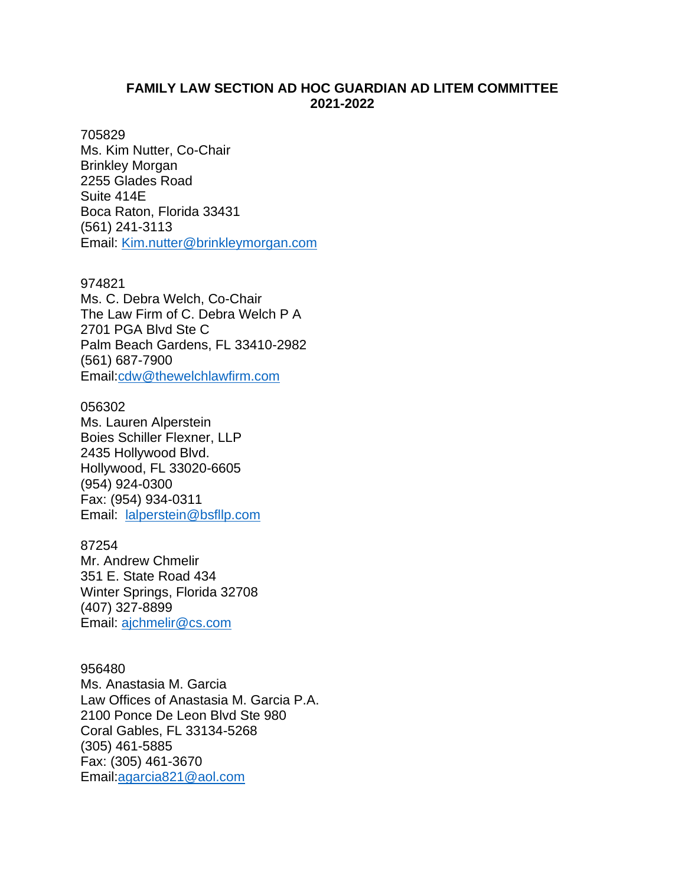## **FAMILY LAW SECTION AD HOC GUARDIAN AD LITEM COMMITTEE 2021-2022**

### 705829

Ms. Kim Nutter, Co-Chair Brinkley Morgan 2255 Glades Road Suite 414E Boca Raton, Florida 33431 (561) 241-3113 Email: [Kim.nutter@brinkleymorgan.com](mailto:Kim.nutter@brinkleymorgan.com)

## 974821

Ms. C. Debra Welch, Co-Chair The Law Firm of C. Debra Welch P A 2701 PGA Blvd Ste C Palm Beach Gardens, FL 33410-2982 (561) [687-7900](tel:561-687-7900) Email[:cdw@thewelchlawfirm.com](mailto:cdw@thewelchlawfirm.com)

# 056302

Ms. Lauren Alperstein Boies Schiller Flexner, LLP 2435 Hollywood Blvd. Hollywood, FL 33020-6605 (954) [924-0300](tel:954-924-0300) Fax: (954) 934-0311 Email: [lalperstein@bsfllp.com](mailto:lalperstein@bsfllp.com)

### 87254

Mr. Andrew Chmelir 351 E. State Road 434 Winter Springs, Florida 32708 (407) 327-8899 Email: [ajchmelir@cs.com](mailto:ajchmelir@cs.com)

## 956480

Ms. Anastasia M. Garcia Law Offices of Anastasia M. Garcia P.A. 2100 Ponce De Leon Blvd Ste 980 Coral Gables, FL 33134-5268 (305) [461-5885](tel:305-461-5885) Fax: (305) 461-3670 Email[:agarcia821@aol.com](mailto:agarcia821@aol.com)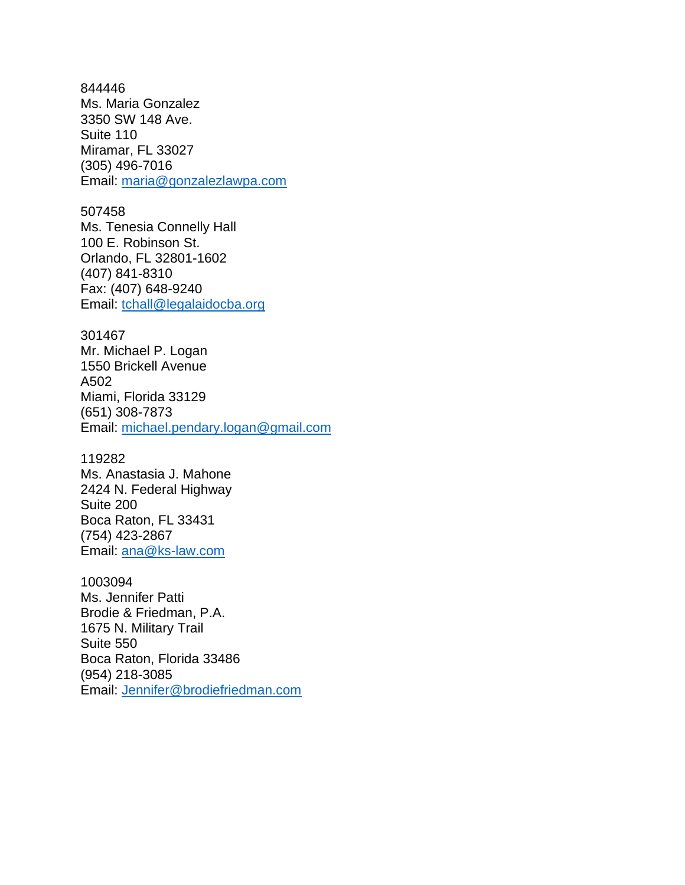844446 Ms. Maria Gonzalez 3350 SW 148 Ave. Suite 110 Miramar, FL 33027 (305) [496-7016](tel:954-809-3300) Email: [maria@gonzalezlawpa.com](mailto:maria@gonzalezlawpa.com)

### 507458

Ms. Tenesia Connelly Hall 100 E. Robinson St. Orlando, FL 32801-1602 (407) 841-8310 Fax: (407) 648-9240 Email: [tchall@legalaidocba.org](mailto:tchall@legalaidocba.org)

### 301467

Mr. Michael P. Logan 1550 Brickell Avenue A502 Miami, Florida 33129 (651) 308-7873 Email: [michael.pendary.logan@gmail.com](mailto:michael.pendary.logan@gmail.com)

### 119282

Ms. Anastasia J. Mahone 2424 N. Federal Highway Suite 200 Boca Raton, FL 33431 (754) 423-2867 Email: [ana@ks-law.com](mailto:ana@ks-law.com)

1003094

Ms. Jennifer Patti Brodie & Friedman, P.A. 1675 N. Military Trail Suite 550 Boca Raton, Florida 33486 (954) 218-3085 Email: [Jennifer@brodiefriedman.com](mailto:Jennifer@brodiefriedman.com)